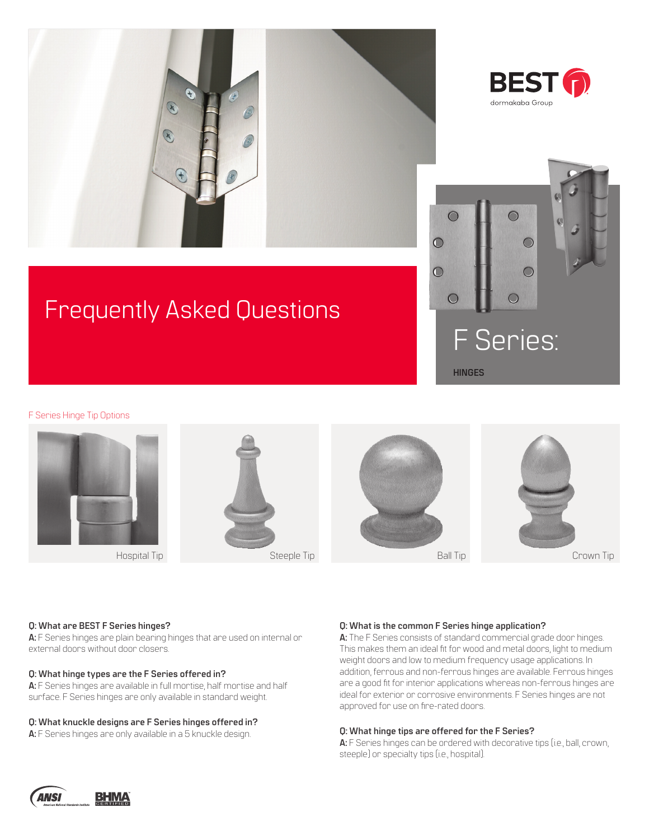



# Frequently Asked Questions



F Series Hinge Tip Options



# **Q: What are BEST F Series hinges?**

**A:** F Series hinges are plain bearing hinges that are used on internal or external doors without door closers.

#### **Q: What hinge types are the F Series offered in?**

**A:** F Series hinges are available in full mortise, half mortise and half surface. F Series hinges are only available in standard weight.

#### **Q: What knuckle designs are F Series hinges offered in?**

**A:** F Series hinges are only available in a 5 knuckle design.

# **Q: What is the common F Series hinge application?**

**A:** The F Series consists of standard commercial grade door hinges. This makes them an ideal fit for wood and metal doors, light to medium weight doors and low to medium frequency usage applications. In addition, ferrous and non-ferrous hinges are available. Ferrous hinges are a good fit for interior applications whereas non-ferrous hinges are ideal for exterior or corrosive environments. F Series hinges are not approved for use on fire-rated doors.

# **Q: What hinge tips are offered for the F Series?**

**A:** F Series hinges can be ordered with decorative tips (i.e., ball, crown, steeple) or specialty tips (i.e., hospital).